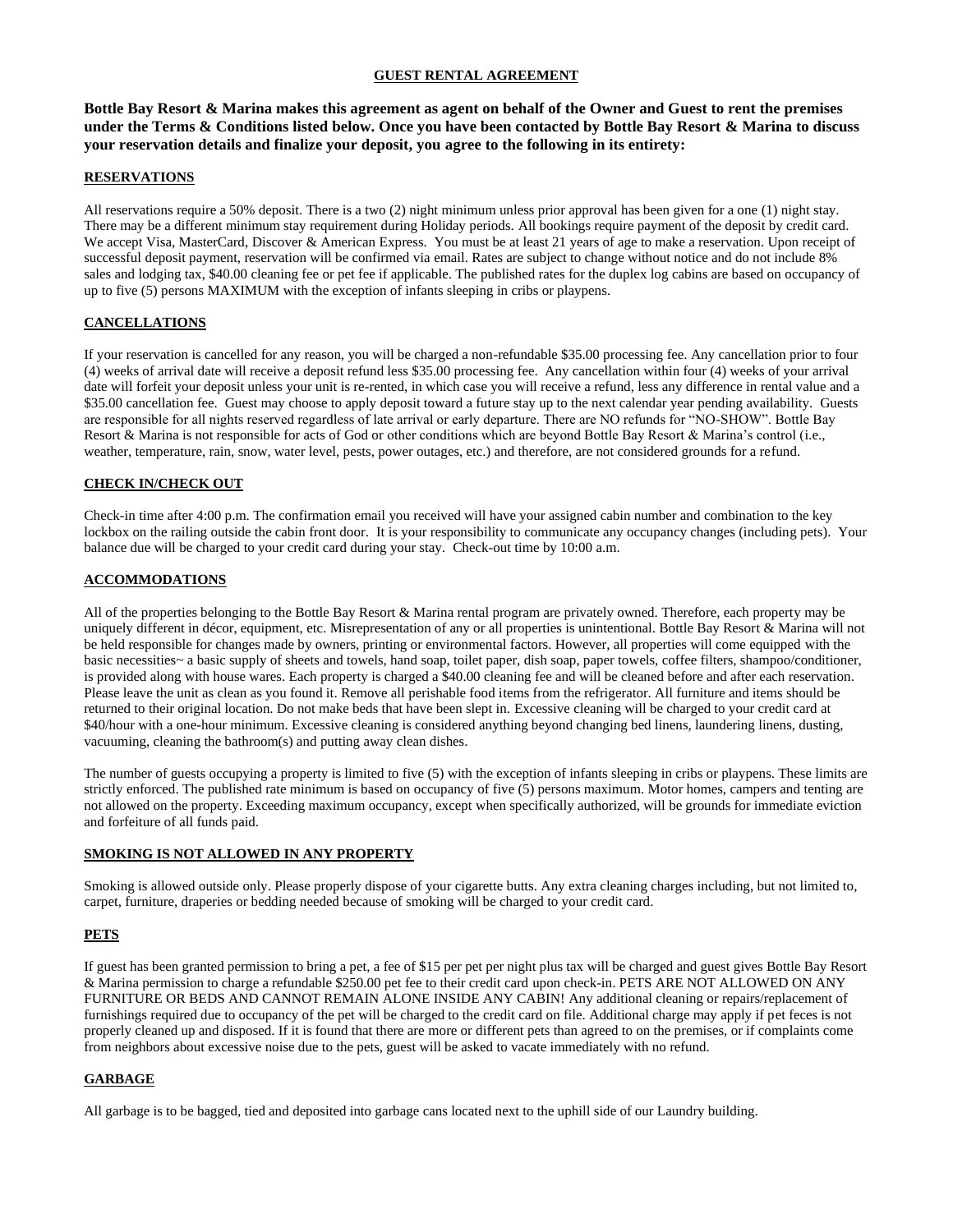# **GUEST RENTAL AGREEMENT**

**Bottle Bay Resort & Marina makes this agreement as agent on behalf of the Owner and Guest to rent the premises under the Terms & Conditions listed below. Once you have been contacted by Bottle Bay Resort & Marina to discuss your reservation details and finalize your deposit, you agree to the following in its entirety:**

### **RESERVATIONS**

All reservations require a 50% deposit. There is a two (2) night minimum unless prior approval has been given for a one (1) night stay. There may be a different minimum stay requirement during Holiday periods. All bookings require payment of the deposit by credit card. We accept Visa, MasterCard, Discover & American Express. You must be at least 21 years of age to make a reservation. Upon receipt of successful deposit payment, reservation will be confirmed via email. Rates are subject to change without notice and do not include 8% sales and lodging tax, \$40.00 cleaning fee or pet fee if applicable. The published rates for the duplex log cabins are based on occupancy of up to five (5) persons MAXIMUM with the exception of infants sleeping in cribs or playpens.

# **CANCELLATIONS**

If your reservation is cancelled for any reason, you will be charged a non-refundable \$35.00 processing fee. Any cancellation prior to four (4) weeks of arrival date will receive a deposit refund less \$35.00 processing fee. Any cancellation within four (4) weeks of your arrival date will forfeit your deposit unless your unit is re-rented, in which case you will receive a refund, less any difference in rental value and a \$35.00 cancellation fee. Guest may choose to apply deposit toward a future stay up to the next calendar year pending availability. Guests are responsible for all nights reserved regardless of late arrival or early departure. There are NO refunds for "NO-SHOW". Bottle Bay Resort & Marina is not responsible for acts of God or other conditions which are beyond Bottle Bay Resort & Marina's control (i.e., weather, temperature, rain, snow, water level, pests, power outages, etc.) and therefore, are not considered grounds for a refund.

# **CHECK IN/CHECK OUT**

Check-in time after 4:00 p.m. The confirmation email you received will have your assigned cabin number and combination to the key lockbox on the railing outside the cabin front door. It is your responsibility to communicate any occupancy changes (including pets). Your balance due will be charged to your credit card during your stay. Check-out time by 10:00 a.m.

### **ACCOMMODATIONS**

All of the properties belonging to the Bottle Bay Resort & Marina rental program are privately owned. Therefore, each property may be uniquely different in décor, equipment, etc. Misrepresentation of any or all properties is unintentional. Bottle Bay Resort & Marina will not be held responsible for changes made by owners, printing or environmental factors. However, all properties will come equipped with the basic necessities~ a basic supply of sheets and towels, hand soap, toilet paper, dish soap, paper towels, coffee filters, shampoo/conditioner, is provided along with house wares. Each property is charged a \$40.00 cleaning fee and will be cleaned before and after each reservation. Please leave the unit as clean as you found it. Remove all perishable food items from the refrigerator. All furniture and items should be returned to their original location. Do not make beds that have been slept in. Excessive cleaning will be charged to your credit card at \$40/hour with a one-hour minimum. Excessive cleaning is considered anything beyond changing bed linens, laundering linens, dusting, vacuuming, cleaning the bathroom(s) and putting away clean dishes.

The number of guests occupying a property is limited to five (5) with the exception of infants sleeping in cribs or playpens. These limits are strictly enforced. The published rate minimum is based on occupancy of five (5) persons maximum. Motor homes, campers and tenting are not allowed on the property. Exceeding maximum occupancy, except when specifically authorized, will be grounds for immediate eviction and forfeiture of all funds paid.

### **SMOKING IS NOT ALLOWED IN ANY PROPERTY**

Smoking is allowed outside only. Please properly dispose of your cigarette butts. Any extra cleaning charges including, but not limited to, carpet, furniture, draperies or bedding needed because of smoking will be charged to your credit card.

# **PETS**

If guest has been granted permission to bring a pet, a fee of \$15 per pet per night plus tax will be charged and guest gives Bottle Bay Resort & Marina permission to charge a refundable \$250.00 pet fee to their credit card upon check-in. PETS ARE NOT ALLOWED ON ANY FURNITURE OR BEDS AND CANNOT REMAIN ALONE INSIDE ANY CABIN! Any additional cleaning or repairs/replacement of furnishings required due to occupancy of the pet will be charged to the credit card on file. Additional charge may apply if pet feces is not properly cleaned up and disposed. If it is found that there are more or different pets than agreed to on the premises, or if complaints come from neighbors about excessive noise due to the pets, guest will be asked to vacate immediately with no refund.

# **GARBAGE**

All garbage is to be bagged, tied and deposited into garbage cans located next to the uphill side of our Laundry building.